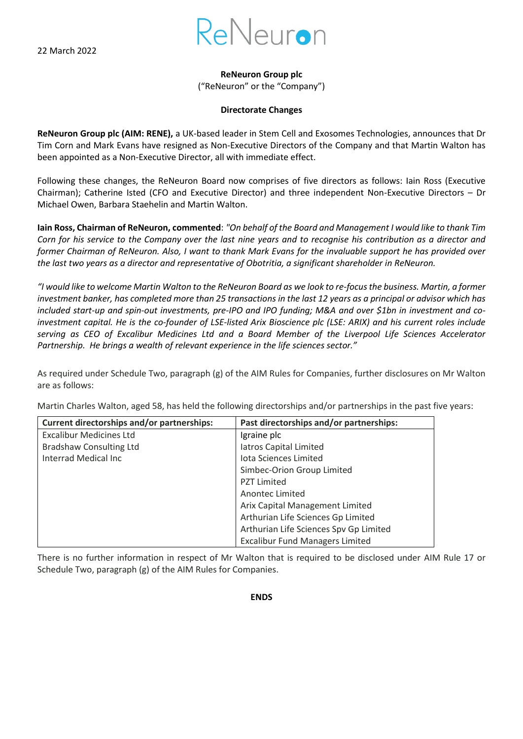22 March 2022



**ReNeuron Group plc**

("ReNeuron" or the "Company")

## **Directorate Changes**

**ReNeuron Group plc (AIM: RENE),** a UK-based leader in Stem Cell and Exosomes Technologies, announces that Dr Tim Corn and Mark Evans have resigned as Non-Executive Directors of the Company and that Martin Walton has been appointed as a Non-Executive Director, all with immediate effect.

Following these changes, the ReNeuron Board now comprises of five directors as follows: Iain Ross (Executive Chairman); Catherine Isted (CFO and Executive Director) and three independent Non-Executive Directors – Dr Michael Owen, Barbara Staehelin and Martin Walton.

**Iain Ross, Chairman of ReNeuron, commented**: *"On behalf of the Board and Management I would like to thank Tim Corn for his service to the Company over the last nine years and to recognise his contribution as a director and former Chairman of ReNeuron. Also, I want to thank Mark Evans for the invaluable support he has provided over the last two years as a director and representative of Obotritia, a significant shareholder in ReNeuron.* 

*"I would like to welcome Martin Walton to the ReNeuron Board as we look to re-focus the business. Martin, a former investment banker, has completed more than 25 transactions in the last 12 years as a principal or advisor which has included start-up and spin-out investments, pre-IPO and IPO funding; M&A and over \$1bn in investment and coinvestment capital. He is the co-founder of LSE-listed Arix Bioscience plc (LSE: ARIX) and his current roles include serving as CEO of Excalibur Medicines Ltd and a Board Member of the Liverpool Life Sciences Accelerator Partnership. He brings a wealth of relevant experience in the life sciences sector."*

As required under Schedule Two, paragraph (g) of the AIM Rules for Companies, further disclosures on Mr Walton are as follows:

Martin Charles Walton, aged 58, has held the following directorships and/or partnerships in the past five years:

| Current directorships and/or partnerships: | Past directorships and/or partnerships: |
|--------------------------------------------|-----------------------------------------|
| <b>Excalibur Medicines Ltd</b>             | Igraine plc                             |
| <b>Bradshaw Consulting Ltd</b>             | latros Capital Limited                  |
| Interrad Medical Inc                       | Iota Sciences Limited                   |
|                                            | Simbec-Orion Group Limited              |
|                                            | <b>PZT Limited</b>                      |
|                                            | Anontec Limited                         |
|                                            | Arix Capital Management Limited         |
|                                            | Arthurian Life Sciences Gp Limited      |
|                                            | Arthurian Life Sciences Spv Gp Limited  |
|                                            | <b>Excalibur Fund Managers Limited</b>  |

There is no further information in respect of Mr Walton that is required to be disclosed under AIM Rule 17 or Schedule Two, paragraph (g) of the AIM Rules for Companies.

**ENDS**